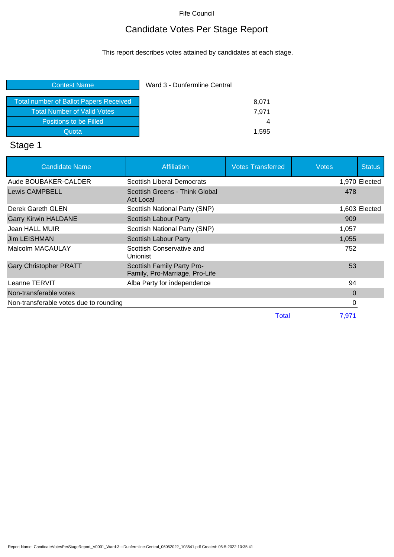## Candidate Votes Per Stage Report

This report describes votes attained by candidates at each stage.

| Ward 3 - Dunfermline Central |  |
|------------------------------|--|
| 8,071                        |  |
| 7.971                        |  |
| 4                            |  |
| 1,595                        |  |
|                              |  |

# Stage 1

| <b>Candidate Name</b>                  | <b>Affiliation</b>                                           | <b>Votes Transferred</b> | <b>Votes</b> | <b>Status</b> |
|----------------------------------------|--------------------------------------------------------------|--------------------------|--------------|---------------|
| Aude BOUBAKER-CALDER                   | <b>Scottish Liberal Democrats</b>                            |                          |              | 1,970 Elected |
| <b>Lewis CAMPBELL</b>                  | Scottish Greens - Think Global<br>Act Local                  |                          | 478          |               |
| Derek Gareth GLEN                      | Scottish National Party (SNP)                                |                          |              | 1,603 Elected |
| <b>Garry Kirwin HALDANE</b>            | Scottish Labour Party                                        |                          | 909          |               |
| Jean HALL MUIR                         | Scottish National Party (SNP)                                |                          | 1,057        |               |
| <b>Jim LEISHMAN</b>                    | Scottish Labour Party                                        |                          | 1,055        |               |
| Malcolm MACAULAY                       | Scottish Conservative and<br><b>Unionist</b>                 |                          | 752          |               |
| <b>Gary Christopher PRATT</b>          | Scottish Family Party Pro-<br>Family, Pro-Marriage, Pro-Life |                          | 53           |               |
| Leanne TERVIT                          | Alba Party for independence                                  |                          | 94           |               |
| Non-transferable votes                 |                                                              |                          | $\Omega$     |               |
| Non-transferable votes due to rounding |                                                              |                          | 0            |               |
|                                        |                                                              | Total                    | 7,971        |               |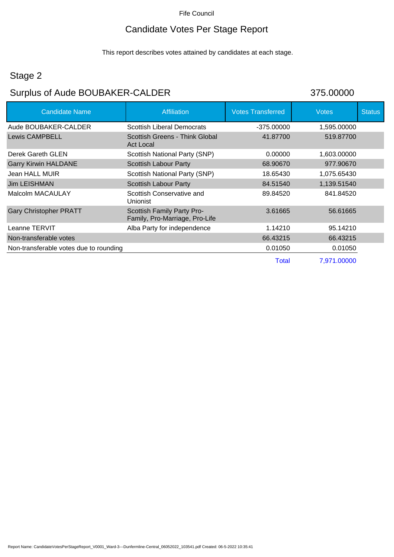## Candidate Votes Per Stage Report

This report describes votes attained by candidates at each stage.

#### Stage 2

# Surplus of Aude BOUBAKER-CALDER 375.00000

| <b>Candidate Name</b>                  | <b>Affiliation</b>                                           | <b>Votes Transferred</b> | <b>Votes</b> | <b>Status</b> |
|----------------------------------------|--------------------------------------------------------------|--------------------------|--------------|---------------|
| Aude BOUBAKER-CALDER                   | <b>Scottish Liberal Democrats</b>                            | $-375.00000$             | 1,595.00000  |               |
| <b>Lewis CAMPBELL</b>                  | Scottish Greens - Think Global<br>Act Local                  | 41.87700                 | 519.87700    |               |
| Derek Gareth GLEN                      | Scottish National Party (SNP)                                | 0.00000                  | 1,603.00000  |               |
| <b>Garry Kirwin HALDANE</b>            | <b>Scottish Labour Party</b>                                 | 68,90670                 | 977.90670    |               |
| Jean HALL MUIR                         | Scottish National Party (SNP)                                | 18.65430                 | 1,075.65430  |               |
| Jim LEISHMAN                           | <b>Scottish Labour Party</b>                                 | 84.51540                 | 1,139.51540  |               |
| Malcolm MACAULAY                       | Scottish Conservative and<br><b>Unionist</b>                 | 89.84520                 | 841.84520    |               |
| <b>Gary Christopher PRATT</b>          | Scottish Family Party Pro-<br>Family, Pro-Marriage, Pro-Life | 3.61665                  | 56.61665     |               |
| Leanne TERVIT                          | Alba Party for independence                                  | 1.14210                  | 95.14210     |               |
| Non-transferable votes                 |                                                              | 66.43215                 | 66.43215     |               |
| Non-transferable votes due to rounding |                                                              | 0.01050                  | 0.01050      |               |
|                                        |                                                              | Total                    | 7,971.00000  |               |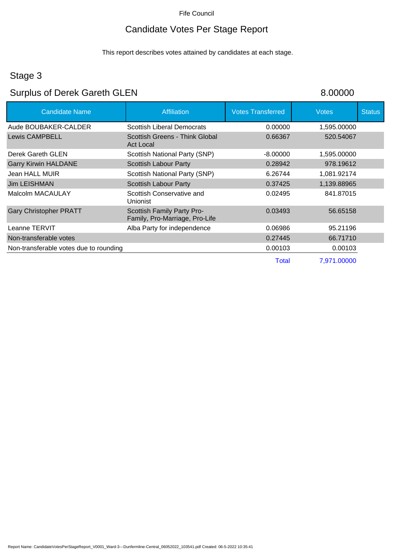## Candidate Votes Per Stage Report

This report describes votes attained by candidates at each stage.

## Stage 3

# Surplus of Derek Gareth GLEN 8.00000

| <b>Candidate Name</b>                  | <b>Affiliation</b>                                           | <b>Votes Transferred</b> | <b>Votes</b> | <b>Status</b> |
|----------------------------------------|--------------------------------------------------------------|--------------------------|--------------|---------------|
| Aude BOUBAKER-CALDER                   | <b>Scottish Liberal Democrats</b>                            | 0.00000                  | 1,595.00000  |               |
| <b>Lewis CAMPBELL</b>                  | Scottish Greens - Think Global<br>Act Local                  | 0.66367                  | 520.54067    |               |
| Derek Gareth GLEN                      | Scottish National Party (SNP)                                | $-8.00000$               | 1,595.00000  |               |
| <b>Garry Kirwin HALDANE</b>            | <b>Scottish Labour Party</b>                                 | 0.28942                  | 978.19612    |               |
| Jean HALL MUIR                         | Scottish National Party (SNP)                                | 6.26744                  | 1,081.92174  |               |
| <b>Jim LEISHMAN</b>                    | <b>Scottish Labour Party</b>                                 | 0.37425                  | 1,139.88965  |               |
| Malcolm MACAULAY                       | Scottish Conservative and<br>Unionist                        | 0.02495                  | 841.87015    |               |
| <b>Gary Christopher PRATT</b>          | Scottish Family Party Pro-<br>Family, Pro-Marriage, Pro-Life | 0.03493                  | 56.65158     |               |
| Leanne TERVIT                          | Alba Party for independence                                  | 0.06986                  | 95.21196     |               |
| Non-transferable votes                 |                                                              | 0.27445                  | 66.71710     |               |
| Non-transferable votes due to rounding |                                                              | 0.00103                  | 0.00103      |               |
|                                        |                                                              | Total                    | 7,971.00000  |               |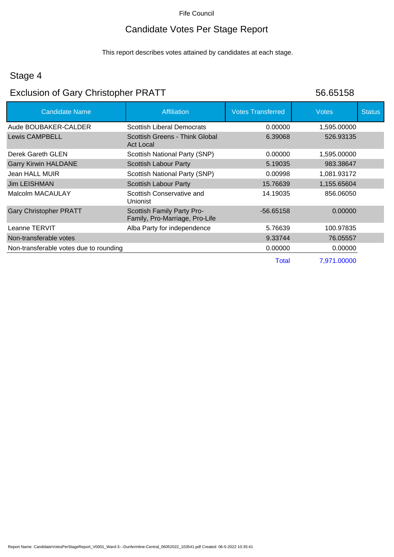## Candidate Votes Per Stage Report

This report describes votes attained by candidates at each stage.

#### Stage 4

## Exclusion of Gary Christopher PRATT 56.65158

| <b>Candidate Name</b>                  | <b>Affiliation</b>                                           | <b>Votes Transferred</b> | <b>Votes</b> | <b>Status</b> |
|----------------------------------------|--------------------------------------------------------------|--------------------------|--------------|---------------|
| Aude BOUBAKER-CALDER                   | <b>Scottish Liberal Democrats</b>                            | 0.00000                  | 1,595.00000  |               |
| <b>Lewis CAMPBELL</b>                  | Scottish Greens - Think Global<br><b>Act Local</b>           | 6.39068                  | 526.93135    |               |
| Derek Gareth GLEN                      | <b>Scottish National Party (SNP)</b>                         | 0.00000                  | 1,595.00000  |               |
| <b>Garry Kirwin HALDANE</b>            | Scottish Labour Party                                        | 5.19035                  | 983.38647    |               |
| Jean HALL MUIR                         | Scottish National Party (SNP)                                | 0.00998                  | 1,081.93172  |               |
| Jim LEISHMAN                           | <b>Scottish Labour Party</b>                                 | 15.76639                 | 1,155.65604  |               |
| Malcolm MACAULAY                       | Scottish Conservative and<br><b>Unionist</b>                 | 14.19035                 | 856.06050    |               |
| <b>Gary Christopher PRATT</b>          | Scottish Family Party Pro-<br>Family, Pro-Marriage, Pro-Life | $-56.65158$              | 0.00000      |               |
| Leanne TERVIT                          | Alba Party for independence                                  | 5.76639                  | 100.97835    |               |
| Non-transferable votes                 |                                                              | 9.33744                  | 76.05557     |               |
| Non-transferable votes due to rounding |                                                              | 0.00000                  | 0.00000      |               |
|                                        |                                                              | Total                    | 7,971.00000  |               |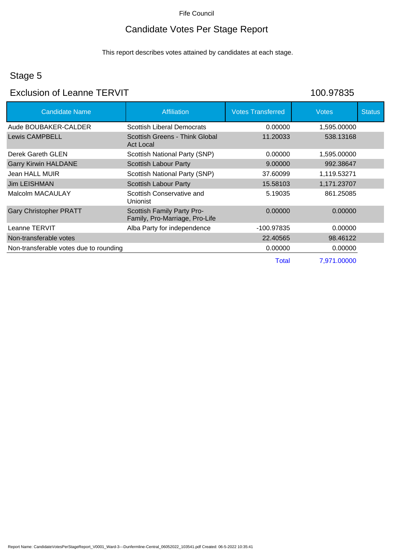## Candidate Votes Per Stage Report

This report describes votes attained by candidates at each stage.

## Stage 5

#### Exclusion of Leanne TERVIT 100.97835

| <b>Candidate Name</b>                  | Affiliation                                                  | <b>Votes Transferred</b> | <b>Votes</b> | <b>Status</b> |
|----------------------------------------|--------------------------------------------------------------|--------------------------|--------------|---------------|
| Aude BOUBAKER-CALDER                   | <b>Scottish Liberal Democrats</b>                            | 0.00000                  | 1,595.00000  |               |
| <b>Lewis CAMPBELL</b>                  | Scottish Greens - Think Global<br><b>Act Local</b>           | 11.20033                 | 538.13168    |               |
| Derek Gareth GLEN                      | Scottish National Party (SNP)                                | 0.00000                  | 1,595.00000  |               |
| <b>Garry Kirwin HALDANE</b>            | <b>Scottish Labour Party</b>                                 | 9.00000                  | 992.38647    |               |
| Jean HALL MUIR                         | Scottish National Party (SNP)                                | 37.60099                 | 1,119.53271  |               |
| Jim LEISHMAN                           | <b>Scottish Labour Party</b>                                 | 15.58103                 | 1,171.23707  |               |
| Malcolm MACAULAY                       | Scottish Conservative and<br>Unionist                        | 5.19035                  | 861.25085    |               |
| <b>Gary Christopher PRATT</b>          | Scottish Family Party Pro-<br>Family, Pro-Marriage, Pro-Life | 0.00000                  | 0.00000      |               |
| Leanne TERVIT                          | Alba Party for independence                                  | -100.97835               | 0.00000      |               |
| Non-transferable votes                 |                                                              | 22.40565                 | 98.46122     |               |
| Non-transferable votes due to rounding |                                                              | 0.00000                  | 0.00000      |               |
|                                        |                                                              | <b>Total</b>             | 7,971.00000  |               |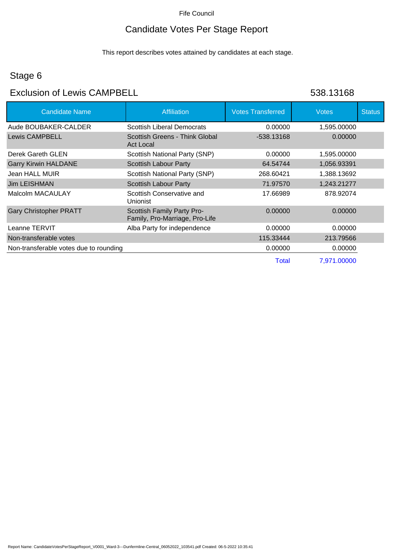## Candidate Votes Per Stage Report

This report describes votes attained by candidates at each stage.

## Stage 6

#### Exclusion of Lewis CAMPBELL 64 and 538.13168

| <b>Candidate Name</b>                  | <b>Affiliation</b>                                           | <b>Votes Transferred</b> | <b>Votes</b> | <b>Status</b> |
|----------------------------------------|--------------------------------------------------------------|--------------------------|--------------|---------------|
| Aude BOUBAKER-CALDER                   | <b>Scottish Liberal Democrats</b>                            | 0.00000                  | 1,595.00000  |               |
| <b>Lewis CAMPBELL</b>                  | Scottish Greens - Think Global<br><b>Act Local</b>           | -538.13168               | 0.00000      |               |
| Derek Gareth GLEN                      | Scottish National Party (SNP)                                | 0.00000                  | 1,595.00000  |               |
| <b>Garry Kirwin HALDANE</b>            | <b>Scottish Labour Party</b>                                 | 64.54744                 | 1,056.93391  |               |
| Jean HALL MUIR                         | Scottish National Party (SNP)                                | 268.60421                | 1,388.13692  |               |
| Jim LEISHMAN                           | <b>Scottish Labour Party</b>                                 | 71.97570                 | 1,243.21277  |               |
| Malcolm MACAULAY                       | Scottish Conservative and<br><b>Unionist</b>                 | 17.66989                 | 878.92074    |               |
| <b>Gary Christopher PRATT</b>          | Scottish Family Party Pro-<br>Family, Pro-Marriage, Pro-Life | 0.00000                  | 0.00000      |               |
| Leanne TERVIT                          | Alba Party for independence                                  | 0.00000                  | 0.00000      |               |
| Non-transferable votes                 |                                                              | 115.33444                | 213.79566    |               |
| Non-transferable votes due to rounding |                                                              | 0.00000                  | 0.00000      |               |
|                                        |                                                              | <b>Total</b>             | 7,971.00000  |               |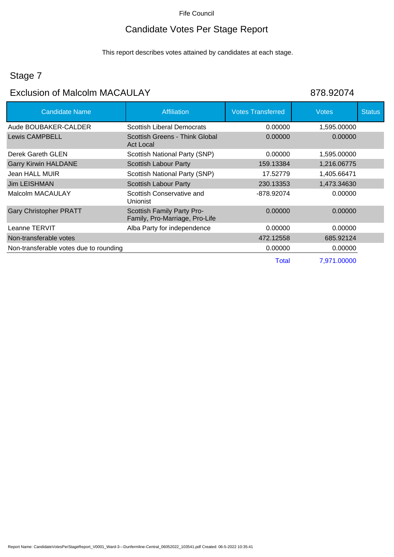## Candidate Votes Per Stage Report

This report describes votes attained by candidates at each stage.

## Stage 7

# Exclusion of Malcolm MACAULAY 878.92074

| <b>Candidate Name</b>                  | <b>Affiliation</b>                                           | <b>Votes Transferred</b> | <b>Votes</b> | <b>Status</b> |
|----------------------------------------|--------------------------------------------------------------|--------------------------|--------------|---------------|
| Aude BOUBAKER-CALDER                   | <b>Scottish Liberal Democrats</b>                            | 0.00000                  | 1,595.00000  |               |
| <b>Lewis CAMPBELL</b>                  | Scottish Greens - Think Global<br><b>Act Local</b>           | 0.00000                  | 0.00000      |               |
| Derek Gareth GLEN                      | Scottish National Party (SNP)                                | 0.00000                  | 1,595.00000  |               |
| <b>Garry Kirwin HALDANE</b>            | Scottish Labour Party                                        | 159.13384                | 1,216.06775  |               |
| Jean HALL MUIR                         | Scottish National Party (SNP)                                | 17.52779                 | 1,405.66471  |               |
| Jim LEISHMAN                           | <b>Scottish Labour Party</b>                                 | 230.13353                | 1,473.34630  |               |
| Malcolm MACAULAY                       | Scottish Conservative and<br>Unionist                        | -878.92074               | 0.00000      |               |
| <b>Gary Christopher PRATT</b>          | Scottish Family Party Pro-<br>Family, Pro-Marriage, Pro-Life | 0.00000                  | 0.00000      |               |
| Leanne TERVIT                          | Alba Party for independence                                  | 0.00000                  | 0.00000      |               |
| Non-transferable votes                 |                                                              | 472.12558                | 685.92124    |               |
| Non-transferable votes due to rounding |                                                              | 0.00000                  | 0.00000      |               |
|                                        |                                                              | Total                    | 7,971.00000  |               |